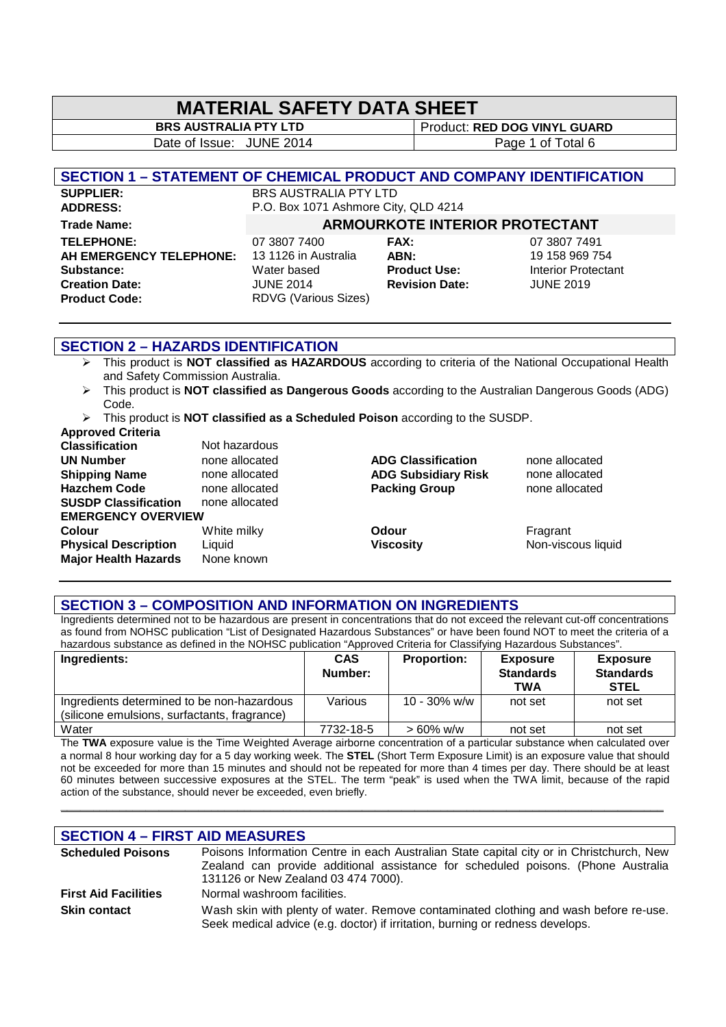# **MATERIAL SAFETY DATA SHEET**

Date of Issue: JUNE 2014 Page 1 of Total 6

**BRS AUSTRALIA PTY LTD** Product: **RED DOG VINYL GUARD** 

### **SECTION 1 – STATEMENT OF CHEMICAL PRODUCT AND COMPANY IDENTIFICATION**

**SUPPLIER:** BRS AUSTRALIA PTY LTD<br> **ADDRESS:** P.O. Box 1071 Ashmore City **TELEPHONE:** 07 3807 7400 **FAX:** 07 3807 7491 **AH EMERGENCY TELEPHONE:** 13 1126 in Australia **ABN:** 19 158 969 754 **Substance:** Water based **Product Use:** Interior Protectant **Creation Date:** JUNE 2014 **Revision Date:** JUNE 2019

P.O. Box 1071 Ashmore City, QLD 4214

## **Trade Name: ARMOURKOTE INTERIOR PROTECTANT**

**Product Code:** RDVG (Various Sizes)

| <b>AX:</b>            |
|-----------------------|
| <b>\BN:</b>           |
| Product Use:          |
| <b>Revision Date:</b> |
|                       |

### **SECTION 2 – HAZARDS IDENTIFICATION**

- This product is **NOT classified as HAZARDOUS** according to criteria of the National Occupational Health and Safety Commission Australia.
- This product is **NOT classified as Dangerous Goods** according to the Australian Dangerous Goods (ADG) Code.
- This product is **NOT classified as a Scheduled Poison** according to the SUSDP. **Approved Criteria**

| Approved Griteria           |                |                            |                    |
|-----------------------------|----------------|----------------------------|--------------------|
| <b>Classification</b>       | Not hazardous  |                            |                    |
| <b>UN Number</b>            | none allocated | <b>ADG Classification</b>  | none allocated     |
| <b>Shipping Name</b>        | none allocated | <b>ADG Subsidiary Risk</b> | none allocated     |
| <b>Hazchem Code</b>         | none allocated | <b>Packing Group</b>       | none allocated     |
| <b>SUSDP Classification</b> | none allocated |                            |                    |
| <b>EMERGENCY OVERVIEW</b>   |                |                            |                    |
| Colour                      | White milky    | Odour                      | Fragrant           |
| <b>Physical Description</b> | Liquid         | <b>Viscosity</b>           | Non-viscous liquid |
| <b>Major Health Hazards</b> | None known     |                            |                    |
|                             |                |                            |                    |

#### **SECTION 3 – COMPOSITION AND INFORMATION ON INGREDIENTS**

Ingredients determined not to be hazardous are present in concentrations that do not exceed the relevant cut-off concentrations as found from NOHSC publication "List of Designated Hazardous Substances" or have been found NOT to meet the criteria of a hazardous substance as defined in the NOHSC publication "Approved Criteria for Classifying Hazardous Substances".

| Ingredients:                                                                               | <b>CAS</b><br>Number: | <b>Proportion:</b> | <b>Exposure</b><br><b>Standards</b><br><b>TWA</b> | <b>Exposure</b><br><b>Standards</b><br><b>STEL</b> |
|--------------------------------------------------------------------------------------------|-----------------------|--------------------|---------------------------------------------------|----------------------------------------------------|
| Ingredients determined to be non-hazardous<br>(silicone emulsions, surfactants, fragrance) | Various               | 10 - 30% w/w       | not set                                           | not set                                            |
| Water                                                                                      | 7732-18-5             | $>60\%$ w/w        | not set                                           | not set                                            |

The **TWA** exposure value is the Time Weighted Average airborne concentration of a particular substance when calculated over a normal 8 hour working day for a 5 day working week. The **STEL** (Short Term Exposure Limit) is an exposure value that should not be exceeded for more than 15 minutes and should not be repeated for more than 4 times per day. There should be at least 60 minutes between successive exposures at the STEL. The term "peak" is used when the TWA limit, because of the rapid action of the substance, should never be exceeded, even briefly.

**\_\_\_\_\_\_\_\_\_\_\_\_\_\_\_\_\_\_\_\_\_\_\_\_\_\_\_\_\_\_\_\_\_\_\_\_\_\_\_\_\_\_\_\_\_\_\_\_\_\_\_\_\_\_\_\_\_\_\_\_\_\_\_\_\_\_\_\_\_\_\_\_\_\_\_\_\_\_\_\_\_\_\_\_\_\_\_\_\_\_\_\_** 

### **SECTION 4 – FIRST AID MEASURES**

| <b>Scheduled Poisons</b>    | Poisons Information Centre in each Australian State capital city or in Christchurch, New                                                                              |  |  |
|-----------------------------|-----------------------------------------------------------------------------------------------------------------------------------------------------------------------|--|--|
|                             | Zealand can provide additional assistance for scheduled poisons. (Phone Australia                                                                                     |  |  |
|                             | 131126 or New Zealand 03 474 7000).                                                                                                                                   |  |  |
| <b>First Aid Facilities</b> | Normal washroom facilities.                                                                                                                                           |  |  |
| <b>Skin contact</b>         | Wash skin with plenty of water. Remove contaminated clothing and wash before re-use.<br>Seek medical advice (e.g. doctor) if irritation, burning or redness develops. |  |  |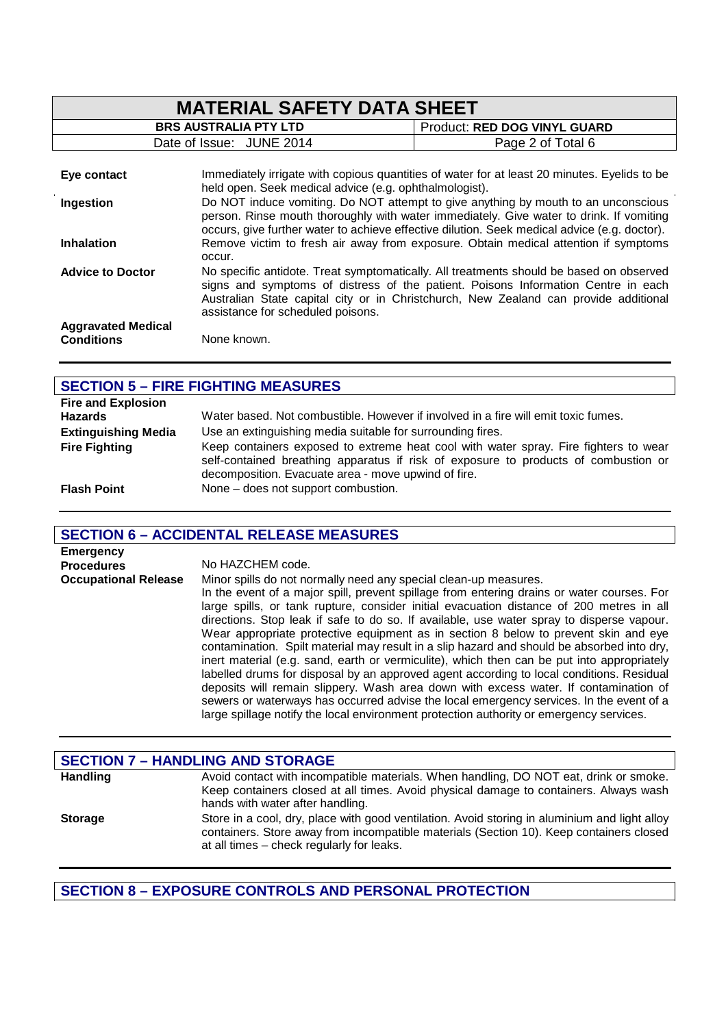| <b>MATERIAL SAFETY DATA SHEET</b>              |                                                                                                                                                                                                                                                                               |                                                                                                                                                                                                                                                                      |  |
|------------------------------------------------|-------------------------------------------------------------------------------------------------------------------------------------------------------------------------------------------------------------------------------------------------------------------------------|----------------------------------------------------------------------------------------------------------------------------------------------------------------------------------------------------------------------------------------------------------------------|--|
|                                                | <b>BRS AUSTRALIA PTY LTD</b>                                                                                                                                                                                                                                                  | Product: RED DOG VINYL GUARD                                                                                                                                                                                                                                         |  |
|                                                | Date of Issue: JUNE 2014                                                                                                                                                                                                                                                      | Page 2 of Total 6                                                                                                                                                                                                                                                    |  |
| Eye contact                                    | held open. Seek medical advice (e.g. ophthalmologist).                                                                                                                                                                                                                        | Immediately irrigate with copious quantities of water for at least 20 minutes. Eyelids to be                                                                                                                                                                         |  |
| Ingestion                                      | Do NOT induce vomiting. Do NOT attempt to give anything by mouth to an unconscious<br>person. Rinse mouth thoroughly with water immediately. Give water to drink. If vomiting<br>occurs, give further water to achieve effective dilution. Seek medical advice (e.g. doctor). |                                                                                                                                                                                                                                                                      |  |
| <b>Inhalation</b>                              | occur.                                                                                                                                                                                                                                                                        | Remove victim to fresh air away from exposure. Obtain medical attention if symptoms                                                                                                                                                                                  |  |
| <b>Advice to Doctor</b>                        | assistance for scheduled poisons.                                                                                                                                                                                                                                             | No specific antidote. Treat symptomatically. All treatments should be based on observed<br>signs and symptoms of distress of the patient. Poisons Information Centre in each<br>Australian State capital city or in Christchurch, New Zealand can provide additional |  |
| <b>Aggravated Medical</b><br><b>Conditions</b> | None known.                                                                                                                                                                                                                                                                   |                                                                                                                                                                                                                                                                      |  |

| <b>SECTION 5 - FIRE FIGHTING MEASURES</b> |                                                                                                                                                                                                                                    |  |
|-------------------------------------------|------------------------------------------------------------------------------------------------------------------------------------------------------------------------------------------------------------------------------------|--|
| <b>Fire and Explosion</b>                 |                                                                                                                                                                                                                                    |  |
| <b>Hazards</b>                            | Water based. Not combustible. However if involved in a fire will emit toxic fumes.                                                                                                                                                 |  |
| <b>Extinguishing Media</b>                | Use an extinguishing media suitable for surrounding fires.                                                                                                                                                                         |  |
| <b>Fire Fighting</b>                      | Keep containers exposed to extreme heat cool with water spray. Fire fighters to wear<br>self-contained breathing apparatus if risk of exposure to products of combustion or<br>decomposition. Evacuate area - move upwind of fire. |  |
| <b>Flash Point</b>                        | None – does not support combustion.                                                                                                                                                                                                |  |

# **SECTION 6 – ACCIDENTAL RELEASE MEASURES**

| <b>Emergency</b>            |                                                                                                                                                                                                                                                                                                                                                                                                                                                                                                                                                                                                                                                                                                                                                                                                                                                                                                                                                                                                                      |
|-----------------------------|----------------------------------------------------------------------------------------------------------------------------------------------------------------------------------------------------------------------------------------------------------------------------------------------------------------------------------------------------------------------------------------------------------------------------------------------------------------------------------------------------------------------------------------------------------------------------------------------------------------------------------------------------------------------------------------------------------------------------------------------------------------------------------------------------------------------------------------------------------------------------------------------------------------------------------------------------------------------------------------------------------------------|
| <b>Procedures</b>           | No HAZCHEM code.                                                                                                                                                                                                                                                                                                                                                                                                                                                                                                                                                                                                                                                                                                                                                                                                                                                                                                                                                                                                     |
| <b>Occupational Release</b> | Minor spills do not normally need any special clean-up measures.<br>In the event of a major spill, prevent spillage from entering drains or water courses. For<br>large spills, or tank rupture, consider initial evacuation distance of 200 metres in all<br>directions. Stop leak if safe to do so. If available, use water spray to disperse vapour.<br>Wear appropriate protective equipment as in section 8 below to prevent skin and eye<br>contamination. Spilt material may result in a slip hazard and should be absorbed into dry,<br>inert material (e.g. sand, earth or vermiculite), which then can be put into appropriately<br>labelled drums for disposal by an approved agent according to local conditions. Residual<br>deposits will remain slippery. Wash area down with excess water. If contamination of<br>sewers or waterways has occurred advise the local emergency services. In the event of a<br>large spillage notify the local environment protection authority or emergency services. |

| <b>SECTION 7 - HANDLING AND STORAGE</b> |                                                                                                                                                                                                                                       |  |
|-----------------------------------------|---------------------------------------------------------------------------------------------------------------------------------------------------------------------------------------------------------------------------------------|--|
| <b>Handling</b>                         | Avoid contact with incompatible materials. When handling, DO NOT eat, drink or smoke.                                                                                                                                                 |  |
|                                         | Keep containers closed at all times. Avoid physical damage to containers. Always wash<br>hands with water after handling.                                                                                                             |  |
| <b>Storage</b>                          | Store in a cool, dry, place with good ventilation. Avoid storing in aluminium and light alloy<br>containers. Store away from incompatible materials (Section 10). Keep containers closed<br>at all times - check regularly for leaks. |  |

**SECTION 8 – EXPOSURE CONTROLS AND PERSONAL PROTECTION**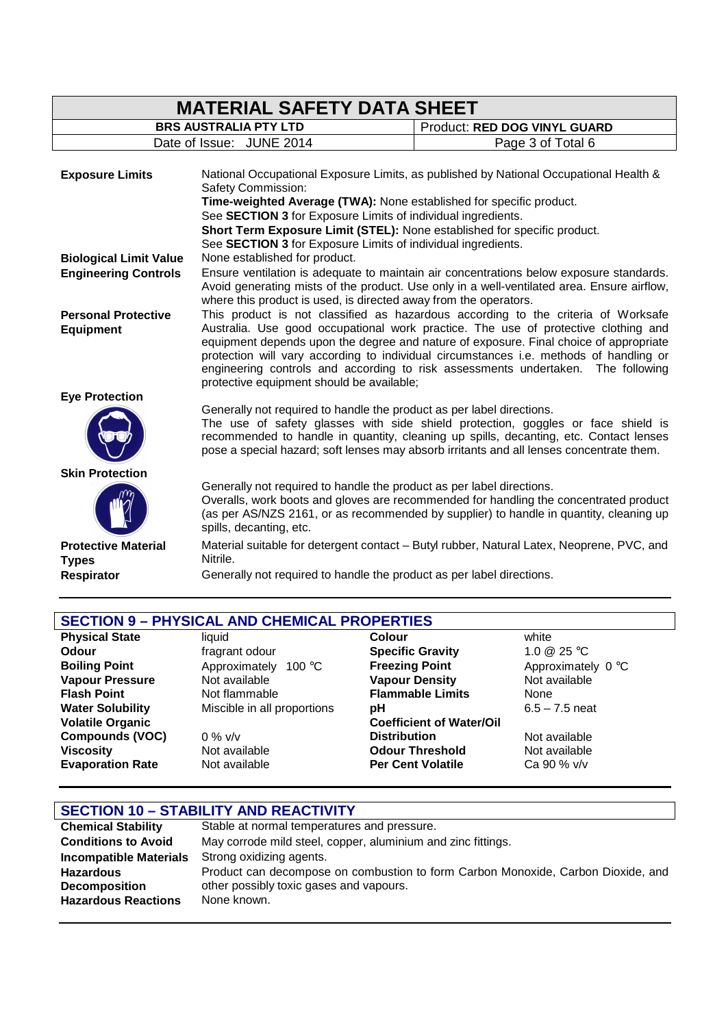| <b>MATERIAL SAFETY DATA SHEET</b>              |                                                                                                                                                                                                                                                                                                                                                                                                                                                                                             |                                                                       |                                                                                                                                                                                                                                                                       |
|------------------------------------------------|---------------------------------------------------------------------------------------------------------------------------------------------------------------------------------------------------------------------------------------------------------------------------------------------------------------------------------------------------------------------------------------------------------------------------------------------------------------------------------------------|-----------------------------------------------------------------------|-----------------------------------------------------------------------------------------------------------------------------------------------------------------------------------------------------------------------------------------------------------------------|
|                                                | <b>BRS AUSTRALIA PTY LTD</b>                                                                                                                                                                                                                                                                                                                                                                                                                                                                |                                                                       | Product: RED DOG VINYL GUARD                                                                                                                                                                                                                                          |
|                                                | Date of Issue: JUNE 2014                                                                                                                                                                                                                                                                                                                                                                                                                                                                    |                                                                       | Page 3 of Total 6                                                                                                                                                                                                                                                     |
| <b>Exposure Limits</b>                         |                                                                                                                                                                                                                                                                                                                                                                                                                                                                                             |                                                                       | National Occupational Exposure Limits, as published by National Occupational Health &                                                                                                                                                                                 |
|                                                | Safety Commission:                                                                                                                                                                                                                                                                                                                                                                                                                                                                          |                                                                       |                                                                                                                                                                                                                                                                       |
|                                                |                                                                                                                                                                                                                                                                                                                                                                                                                                                                                             |                                                                       | Time-weighted Average (TWA): None established for specific product.                                                                                                                                                                                                   |
|                                                |                                                                                                                                                                                                                                                                                                                                                                                                                                                                                             | See SECTION 3 for Exposure Limits of individual ingredients.          |                                                                                                                                                                                                                                                                       |
|                                                |                                                                                                                                                                                                                                                                                                                                                                                                                                                                                             |                                                                       | Short Term Exposure Limit (STEL): None established for specific product.                                                                                                                                                                                              |
|                                                |                                                                                                                                                                                                                                                                                                                                                                                                                                                                                             | See SECTION 3 for Exposure Limits of individual ingredients.          |                                                                                                                                                                                                                                                                       |
| <b>Biological Limit Value</b>                  |                                                                                                                                                                                                                                                                                                                                                                                                                                                                                             | None established for product.                                         |                                                                                                                                                                                                                                                                       |
| <b>Engineering Controls</b>                    |                                                                                                                                                                                                                                                                                                                                                                                                                                                                                             | where this product is used, is directed away from the operators.      | Ensure ventilation is adequate to maintain air concentrations below exposure standards.<br>Avoid generating mists of the product. Use only in a well-ventilated area. Ensure airflow,                                                                                 |
| <b>Personal Protective</b><br><b>Equipment</b> | This product is not classified as hazardous according to the criteria of Worksafe<br>Australia. Use good occupational work practice. The use of protective clothing and<br>equipment depends upon the degree and nature of exposure. Final choice of appropriate<br>protection will vary according to individual circumstances i.e. methods of handling or<br>engineering controls and according to risk assessments undertaken. The following<br>protective equipment should be available; |                                                                       |                                                                                                                                                                                                                                                                       |
| <b>Eye Protection</b>                          |                                                                                                                                                                                                                                                                                                                                                                                                                                                                                             |                                                                       |                                                                                                                                                                                                                                                                       |
|                                                |                                                                                                                                                                                                                                                                                                                                                                                                                                                                                             | Generally not required to handle the product as per label directions. | The use of safety glasses with side shield protection, goggles or face shield is<br>recommended to handle in quantity, cleaning up spills, decanting, etc. Contact lenses<br>pose a special hazard; soft lenses may absorb irritants and all lenses concentrate them. |
| <b>Skin Protection</b>                         |                                                                                                                                                                                                                                                                                                                                                                                                                                                                                             |                                                                       |                                                                                                                                                                                                                                                                       |
|                                                | spills, decanting, etc.                                                                                                                                                                                                                                                                                                                                                                                                                                                                     | Generally not required to handle the product as per label directions. | Overalls, work boots and gloves are recommended for handling the concentrated product<br>(as per AS/NZS 2161, or as recommended by supplier) to handle in quantity, cleaning up                                                                                       |
| <b>Protective Material</b><br><b>Types</b>     | Nitrile.                                                                                                                                                                                                                                                                                                                                                                                                                                                                                    |                                                                       | Material suitable for detergent contact - Butyl rubber, Natural Latex, Neoprene, PVC, and                                                                                                                                                                             |
| <b>Respirator</b>                              |                                                                                                                                                                                                                                                                                                                                                                                                                                                                                             | Generally not required to handle the product as per label directions. |                                                                                                                                                                                                                                                                       |
|                                                |                                                                                                                                                                                                                                                                                                                                                                                                                                                                                             |                                                                       |                                                                                                                                                                                                                                                                       |

| <b>SECTION 9 - PHYSICAL AND CHEMICAL PROPERTIES</b> |                             |                                 |                    |  |
|-----------------------------------------------------|-----------------------------|---------------------------------|--------------------|--|
| <b>Physical State</b>                               | liquid                      | Colour                          | white              |  |
| Odour                                               | fragrant odour              | <b>Specific Gravity</b>         | 1.0 $@$ 25 °C      |  |
| <b>Boiling Point</b>                                | Approximately 100 °C        | <b>Freezing Point</b>           | Approximately 0 °C |  |
| <b>Vapour Pressure</b>                              | Not available               | <b>Vapour Density</b>           | Not available      |  |
| <b>Flash Point</b>                                  | Not flammable               | <b>Flammable Limits</b>         | None               |  |
| <b>Water Solubility</b>                             | Miscible in all proportions | рH                              | $6.5 - 7.5$ neat   |  |
| <b>Volatile Organic</b>                             |                             | <b>Coefficient of Water/Oil</b> |                    |  |
| <b>Compounds (VOC)</b>                              | $0\%$ v/v                   | <b>Distribution</b>             | Not available      |  |
| <b>Viscosity</b>                                    | Not available               | <b>Odour Threshold</b>          | Not available      |  |
| <b>Evaporation Rate</b>                             | Not available               | <b>Per Cent Volatile</b>        | Ca 90 % v/v        |  |

| <b>SECTION 10 - STABILITY AND REACTIVITY</b> |                                                                                  |  |
|----------------------------------------------|----------------------------------------------------------------------------------|--|
| <b>Chemical Stability</b>                    | Stable at normal temperatures and pressure.                                      |  |
| <b>Conditions to Avoid</b>                   | May corrode mild steel, copper, aluminium and zinc fittings.                     |  |
| <b>Incompatible Materials</b>                | Strong oxidizing agents.                                                         |  |
| <b>Hazardous</b>                             | Product can decompose on combustion to form Carbon Monoxide, Carbon Dioxide, and |  |
| <b>Decomposition</b>                         | other possibly toxic gases and vapours.                                          |  |
| <b>Hazardous Reactions</b>                   | None known.                                                                      |  |

 $\mathsf{l}$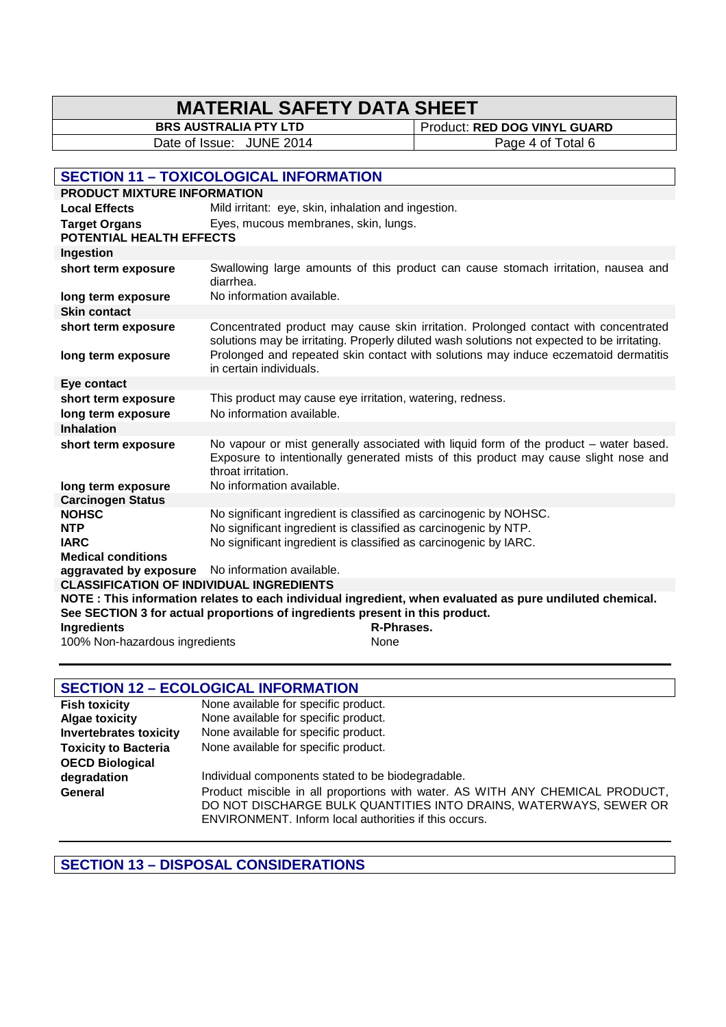# **MATERIAL SAFETY DATA SHEET**

**BRS AUSTRALIA PTY LTD** Product: **RED DOG VINYL GUARD** Date of Issue: JUNE 2014 Page 4 of Total 6

# **SECTION 11 – TOXICOLOGICAL INFORMATION**

| <b>PRODUCT MIXTURE INFORMATION</b>                                                                       |                                                           |                                                                                                                                                                                    |  |
|----------------------------------------------------------------------------------------------------------|-----------------------------------------------------------|------------------------------------------------------------------------------------------------------------------------------------------------------------------------------------|--|
| <b>Local Effects</b>                                                                                     | Mild irritant: eye, skin, inhalation and ingestion.       |                                                                                                                                                                                    |  |
| <b>Target Organs</b><br>POTENTIAL HEALTH EFFECTS                                                         | Eyes, mucous membranes, skin, lungs.                      |                                                                                                                                                                                    |  |
| Ingestion                                                                                                |                                                           |                                                                                                                                                                                    |  |
| short term exposure                                                                                      | diarrhea.                                                 | Swallowing large amounts of this product can cause stomach irritation, nausea and                                                                                                  |  |
| long term exposure                                                                                       | No information available.                                 |                                                                                                                                                                                    |  |
| <b>Skin contact</b>                                                                                      |                                                           |                                                                                                                                                                                    |  |
| short term exposure                                                                                      |                                                           | Concentrated product may cause skin irritation. Prolonged contact with concentrated<br>solutions may be irritating. Properly diluted wash solutions not expected to be irritating. |  |
| long term exposure                                                                                       | in certain individuals.                                   | Prolonged and repeated skin contact with solutions may induce eczematoid dermatitis                                                                                                |  |
| Eye contact                                                                                              |                                                           |                                                                                                                                                                                    |  |
| short term exposure                                                                                      | This product may cause eye irritation, watering, redness. |                                                                                                                                                                                    |  |
| long term exposure                                                                                       | No information available.                                 |                                                                                                                                                                                    |  |
| <b>Inhalation</b>                                                                                        |                                                           |                                                                                                                                                                                    |  |
| short term exposure                                                                                      | throat irritation.                                        | No vapour or mist generally associated with liquid form of the product - water based.<br>Exposure to intentionally generated mists of this product may cause slight nose and       |  |
| long term exposure                                                                                       | No information available.                                 |                                                                                                                                                                                    |  |
| <b>Carcinogen Status</b>                                                                                 |                                                           |                                                                                                                                                                                    |  |
| <b>NOHSC</b>                                                                                             |                                                           | No significant ingredient is classified as carcinogenic by NOHSC.                                                                                                                  |  |
| <b>NTP</b>                                                                                               |                                                           | No significant ingredient is classified as carcinogenic by NTP.                                                                                                                    |  |
| <b>IARC</b><br><b>Medical conditions</b>                                                                 |                                                           | No significant ingredient is classified as carcinogenic by IARC.                                                                                                                   |  |
| aggravated by exposure                                                                                   | No information available.                                 |                                                                                                                                                                                    |  |
| <b>CLASSIFICATION OF INDIVIDUAL INGREDIENTS</b>                                                          |                                                           |                                                                                                                                                                                    |  |
| NOTE: This information relates to each individual ingredient, when evaluated as pure undiluted chemical. |                                                           |                                                                                                                                                                                    |  |
| See SECTION 3 for actual proportions of ingredients present in this product.                             |                                                           |                                                                                                                                                                                    |  |
| <b>Ingredients</b>                                                                                       |                                                           | R-Phrases.                                                                                                                                                                         |  |
| 100% Non-hazardous ingredients                                                                           |                                                           | None                                                                                                                                                                               |  |
|                                                                                                          |                                                           |                                                                                                                                                                                    |  |

# **SECTION 12 – ECOLOGICAL INFORMATION**

| <b>Fish toxicity</b>          | None available for specific product.                                          |
|-------------------------------|-------------------------------------------------------------------------------|
| <b>Algae toxicity</b>         | None available for specific product.                                          |
| <b>Invertebrates toxicity</b> | None available for specific product.                                          |
| <b>Toxicity to Bacteria</b>   | None available for specific product.                                          |
| <b>OECD Biological</b>        |                                                                               |
| degradation                   | Individual components stated to be biodegradable.                             |
| General                       | Product miscible in all proportions with water. AS WITH ANY CHEMICAL PRODUCT, |
|                               | DO NOT DISCHARGE BULK QUANTITIES INTO DRAINS, WATERWAYS, SEWER OR             |
|                               | ENVIRONMENT. Inform local authorities if this occurs.                         |

**SECTION 13 – DISPOSAL CONSIDERATIONS**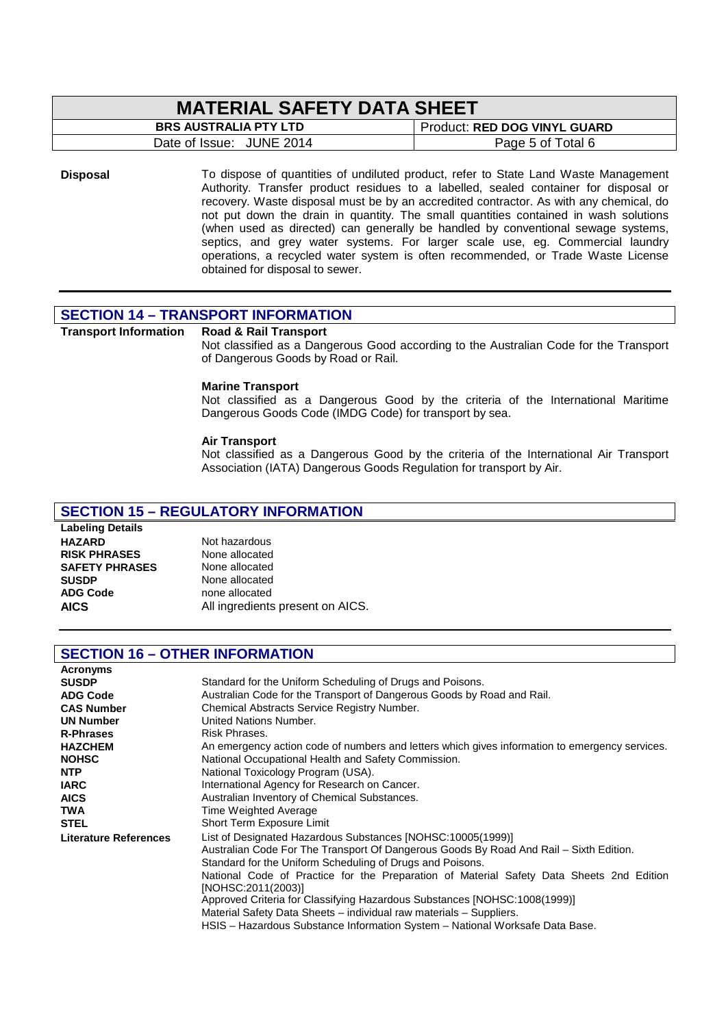# **MATERIAL SAFETY DATA SHEET**

| <b>BRS AUSTRALIA PTY LTD</b> | Product: RED DOG VINYL GUARD |  |
|------------------------------|------------------------------|--|
| Date of Issue: JUNE 2014     | Page 5 of Total 6            |  |

**Disposal** To dispose of quantities of undiluted product, refer to State Land Waste Management Authority. Transfer product residues to a labelled, sealed container for disposal or recovery. Waste disposal must be by an accredited contractor. As with any chemical, do not put down the drain in quantity. The small quantities contained in wash solutions (when used as directed) can generally be handled by conventional sewage systems, septics, and grey water systems. For larger scale use, eg. Commercial laundry operations, a recycled water system is often recommended, or Trade Waste License obtained for disposal to sewer.

# **SECTION 14 – TRANSPORT INFORMATION**

#### **Transport Information Road & Rail Transport**

Not classified as a Dangerous Good according to the Australian Code for the Transport of Dangerous Goods by Road or Rail.

#### **Marine Transport**

Not classified as a Dangerous Good by the criteria of the International Maritime Dangerous Goods Code (IMDG Code) for transport by sea.

#### **Air Transport**

Not classified as a Dangerous Good by the criteria of the International Air Transport Association (IATA) Dangerous Goods Regulation for transport by Air.

#### **SECTION 15 – REGULATORY INFORMATION**

# **Labeling Details**

**SAFETY PHRASES**<br>SUSDP

### **HAZARD** Not hazardous<br> **RISK PHRASES** None allocated **RISK PHRASES** None allocated<br> **SAFETY PHRASES** None allocated **SUSDP** None allocated<br> **ADG Code** none allocated **ADG Code** none allocated<br> **AICS** All ingredients All ingredients present on AICS.

#### **SECTION 16 – OTHER INFORMATION**

| <b>Acronyms</b>              |                                                                                                |  |  |  |
|------------------------------|------------------------------------------------------------------------------------------------|--|--|--|
| <b>SUSDP</b>                 | Standard for the Uniform Scheduling of Drugs and Poisons.                                      |  |  |  |
| <b>ADG Code</b>              | Australian Code for the Transport of Dangerous Goods by Road and Rail.                         |  |  |  |
| <b>CAS Number</b>            | Chemical Abstracts Service Registry Number.                                                    |  |  |  |
| <b>UN Number</b>             | United Nations Number.                                                                         |  |  |  |
| <b>R-Phrases</b>             | Risk Phrases.                                                                                  |  |  |  |
| <b>HAZCHEM</b>               | An emergency action code of numbers and letters which gives information to emergency services. |  |  |  |
| <b>NOHSC</b>                 | National Occupational Health and Safety Commission.                                            |  |  |  |
| <b>NTP</b>                   | National Toxicology Program (USA).                                                             |  |  |  |
| <b>IARC</b>                  | International Agency for Research on Cancer.                                                   |  |  |  |
| <b>AICS</b>                  | Australian Inventory of Chemical Substances.                                                   |  |  |  |
| <b>TWA</b>                   | Time Weighted Average                                                                          |  |  |  |
| <b>STEL</b>                  | Short Term Exposure Limit                                                                      |  |  |  |
| <b>Literature References</b> | List of Designated Hazardous Substances [NOHSC:10005(1999)]                                    |  |  |  |
|                              | Australian Code For The Transport Of Dangerous Goods By Road And Rail – Sixth Edition.         |  |  |  |
|                              | Standard for the Uniform Scheduling of Drugs and Poisons.                                      |  |  |  |
|                              | National Code of Practice for the Preparation of Material Safety Data Sheets 2nd Edition       |  |  |  |
|                              | [NOHSC:2011(2003)]                                                                             |  |  |  |
|                              | Approved Criteria for Classifying Hazardous Substances [NOHSC:1008(1999)]                      |  |  |  |
|                              | Material Safety Data Sheets – individual raw materials – Suppliers.                            |  |  |  |
|                              | HSIS – Hazardous Substance Information System – National Worksafe Data Base.                   |  |  |  |